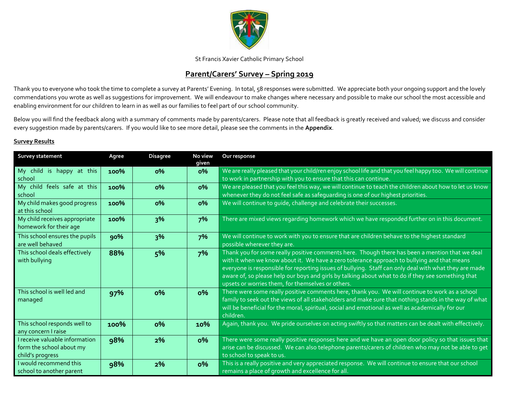

St Francis Xavier Catholic Primary School

## **Parent/Carers' Survey – Spring 2019**

Thank you to everyone who took the time to complete a survey at Parents' Evening. In total, 58 responses were submitted. We appreciate both your ongoing support and the lovely commendations you wrote as well as suggestions for improvement. We will endeavour to make changes where necessary and possible to make our school the most accessible and enabling environment for our children to learn in as well as our families to feel part of our school community.

Below you will find the feedback along with a summary of comments made by parents/carers. Please note that all feedback is greatly received and valued; we discuss and consider every suggestion made by parents/carers. If you would like to see more detail, please see the comments in the **Appendix**.

## **Survey Results**

| Survey statement                                                               | Agree | <b>Disagree</b> | No view<br>given | Our response                                                                                                                                                                                                                                                                                                                                                                                                                                                      |
|--------------------------------------------------------------------------------|-------|-----------------|------------------|-------------------------------------------------------------------------------------------------------------------------------------------------------------------------------------------------------------------------------------------------------------------------------------------------------------------------------------------------------------------------------------------------------------------------------------------------------------------|
| My child is happy at this<br>school                                            | 100%  | $0\%$           | $0\%$            | We are really pleased that your child/ren enjoy school life and that you feel happy too. We will continue<br>to work in partnership with you to ensure that this can continue.                                                                                                                                                                                                                                                                                    |
| My child feels safe at this<br>school                                          | 100%  | 0%              | <b>o%</b>        | We are pleased that you feel this way, we will continue to teach the children about how to let us know<br>whenever they do not feel safe as safeguarding is one of our highest priorities.                                                                                                                                                                                                                                                                        |
| My child makes good progress<br>at this school                                 | 100%  | 0%              | о%               | We will continue to quide, challenge and celebrate their successes.                                                                                                                                                                                                                                                                                                                                                                                               |
| My child receives appropriate<br>homework for their age                        | 100%  | 3%              | 7%               | There are mixed views regarding homework which we have responded further on in this document.                                                                                                                                                                                                                                                                                                                                                                     |
| This school ensures the pupils<br>are well behaved                             | 90%   | 3%              | 7%               | We will continue to work with you to ensure that are children behave to the highest standard<br>possible wherever they are.                                                                                                                                                                                                                                                                                                                                       |
| This school deals effectively<br>with bullying                                 | 88%   | 5%              | 7%               | Thank you for some really positive comments here. Though there has been a mention that we deal<br>with it when we know about it. We have a zero tolerance approach to bullying and that means<br>everyone is responsible for reporting issues of bullying. Staff can only deal with what they are made<br>aware of, so please help our boys and girls by talking about what to do if they see something that<br>upsets or worries them, for themselves or others. |
| This school is well led and<br>managed                                         | 97%   | $o\%$           | $o\%$            | There were some really positive comments here, thank you. We will continue to work as a school<br>family to seek out the views of all stakeholders and make sure that nothing stands in the way of what<br>will be beneficial for the moral, spiritual, social and emotional as well as academically for our<br>children.                                                                                                                                         |
| This school responds well to<br>any concern I raise                            | 100%  | $o\%$           | 10%              | Again, thank you. We pride ourselves on acting swiftly so that matters can be dealt with effectively.                                                                                                                                                                                                                                                                                                                                                             |
| I receive valuable information<br>form the school about my<br>child's progress | 98%   | 2%              | <b>o%</b>        | There were some really positive responses here and we have an open door policy so that issues that<br>arise can be discussed. We can also telephone parents/carers of children who may not be able to get<br>to school to speak to us.                                                                                                                                                                                                                            |
| I would recommend this<br>school to another parent                             | 98%   | 2%              | $o\%$            | This is a really positive and very appreciated response. We will continue to ensure that our school<br>remains a place of growth and excellence for all.                                                                                                                                                                                                                                                                                                          |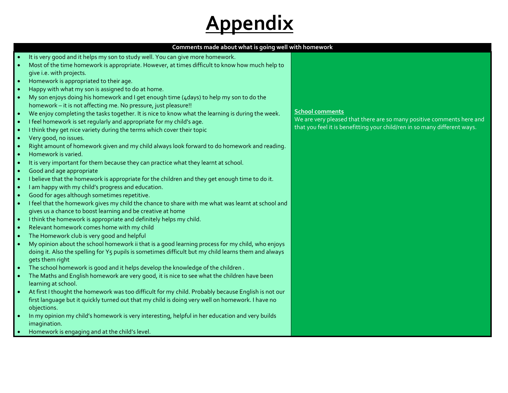

|           | Comments made about what is going well with homework                                                                    |                                                                           |
|-----------|-------------------------------------------------------------------------------------------------------------------------|---------------------------------------------------------------------------|
|           | It is very good and it helps my son to study well. You can give more homework.                                          |                                                                           |
|           | Most of the time homework is appropriate. However, at times difficult to know how much help to                          |                                                                           |
|           | give i.e. with projects.                                                                                                |                                                                           |
|           | Homework is appropriated to their age.                                                                                  |                                                                           |
| $\bullet$ | Happy with what my son is assigned to do at home.                                                                       |                                                                           |
|           | My son enjoys doing his homework and I get enough time (4days) to help my son to do the                                 |                                                                           |
|           | homework - it is not affecting me. No pressure, just pleasure!!                                                         |                                                                           |
| $\bullet$ | We enjoy completing the tasks together. It is nice to know what the learning is during the week.                        | <b>School comments</b>                                                    |
|           | I feel homework is set regularly and appropriate for my child's age.                                                    | We are very pleased that there are so many positive comments here and     |
| $\bullet$ | I think they get nice variety during the terms which cover their topic                                                  | that you feel it is benefitting your child/ren in so many different ways. |
| $\bullet$ | Very good, no issues.                                                                                                   |                                                                           |
| $\bullet$ | Right amount of homework given and my child always look forward to do homework and reading.                             |                                                                           |
| $\bullet$ | Homework is varied.                                                                                                     |                                                                           |
| $\bullet$ | It is very important for them because they can practice what they learnt at school.                                     |                                                                           |
|           | Good and age appropriate                                                                                                |                                                                           |
|           | I believe that the homework is appropriate for the children and they get enough time to do it.                          |                                                                           |
| $\bullet$ | I am happy with my child's progress and education.                                                                      |                                                                           |
| $\bullet$ | Good for ages although sometimes repetitive.                                                                            |                                                                           |
| $\bullet$ | I feel that the homework gives my child the chance to share with me what was learnt at school and                       |                                                                           |
|           | gives us a chance to boost learning and be creative at home                                                             |                                                                           |
|           | I think the homework is appropriate and definitely helps my child.                                                      |                                                                           |
| $\bullet$ | Relevant homework comes home with my child                                                                              |                                                                           |
| $\bullet$ | The Homework club is very good and helpful                                                                              |                                                                           |
|           | My opinion about the school homework ii that is a good learning process for my child, who enjoys                        |                                                                           |
|           | doing it. Also the spelling for Y5 pupils is sometimes difficult but my child learns them and always<br>gets them right |                                                                           |
| $\bullet$ | The school homework is good and it helps develop the knowledge of the children.                                         |                                                                           |
| $\bullet$ | The Maths and English homework are very good, it is nice to see what the children have been                             |                                                                           |
|           | learning at school.                                                                                                     |                                                                           |
|           | At first I thought the homework was too difficult for my child. Probably because English is not our                     |                                                                           |
|           | first language but it quickly turned out that my child is doing very well on homework. I have no                        |                                                                           |
|           | objections.                                                                                                             |                                                                           |
|           | In my opinion my child's homework is very interesting, helpful in her education and very builds                         |                                                                           |
|           | imagination.                                                                                                            |                                                                           |

• Homework is engaging and at the child's level.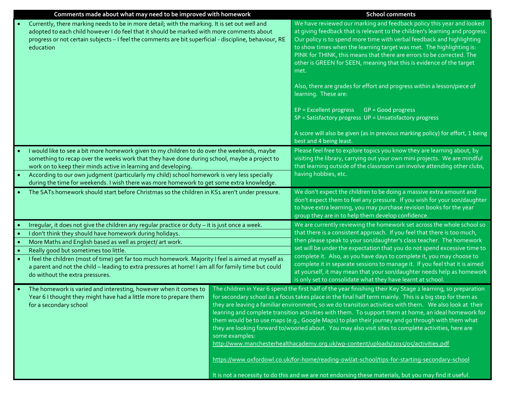| Comments made about what may need to be improved with homework                                                                                                                                                                                                                                                                                                                                                                                                                                                                                                                                                                                                                                                                                                                                                                                                                                                                                                                                                                                                                                                                                                  |                                                                                                                                                                                                                                                                                               | <b>School comments</b>                                                                                                                                                                                                                                                                                                                                                                                                                                                                                                                                                                                                                                                                                                                                                                       |
|-----------------------------------------------------------------------------------------------------------------------------------------------------------------------------------------------------------------------------------------------------------------------------------------------------------------------------------------------------------------------------------------------------------------------------------------------------------------------------------------------------------------------------------------------------------------------------------------------------------------------------------------------------------------------------------------------------------------------------------------------------------------------------------------------------------------------------------------------------------------------------------------------------------------------------------------------------------------------------------------------------------------------------------------------------------------------------------------------------------------------------------------------------------------|-----------------------------------------------------------------------------------------------------------------------------------------------------------------------------------------------------------------------------------------------------------------------------------------------|----------------------------------------------------------------------------------------------------------------------------------------------------------------------------------------------------------------------------------------------------------------------------------------------------------------------------------------------------------------------------------------------------------------------------------------------------------------------------------------------------------------------------------------------------------------------------------------------------------------------------------------------------------------------------------------------------------------------------------------------------------------------------------------------|
| Currently, there marking needs to be in more detail; with the marking. It is set out well and<br>adopted to each child however I do feel that it should be marked with more comments about<br>progress or not certain subjects - I feel the comments are bit superficial - discipline, behaviour, RE<br>education                                                                                                                                                                                                                                                                                                                                                                                                                                                                                                                                                                                                                                                                                                                                                                                                                                               |                                                                                                                                                                                                                                                                                               | We have reviewed our marking and feedback policy this year and looked<br>at giving feedback that is relevant to the children's learning and progress.<br>Our policy is to spend more time with verbal feedback and highlighting<br>to show times when the learning target was met. The highlighting is:<br>PINK for THINK, this means that there are errors to be corrected. The<br>other is GREEN for SEEN, meaning that this is evidence of the target<br>met.<br>Also, there are grades for effort and progress within a lesson/piece of<br>learning. These are:<br>EP = Excellent progress<br>GP = Good progress<br>SP = Satisfactory progress UP = Unsatisfactory progress<br>A score will also be given (as in previous marking policy) for effort, 1 being<br>best and 4 being least. |
|                                                                                                                                                                                                                                                                                                                                                                                                                                                                                                                                                                                                                                                                                                                                                                                                                                                                                                                                                                                                                                                                                                                                                                 |                                                                                                                                                                                                                                                                                               |                                                                                                                                                                                                                                                                                                                                                                                                                                                                                                                                                                                                                                                                                                                                                                                              |
| I would like to see a bit more homework given to my children to do over the weekends, maybe<br>something to recap over the weeks work that they have done during school, maybe a project to                                                                                                                                                                                                                                                                                                                                                                                                                                                                                                                                                                                                                                                                                                                                                                                                                                                                                                                                                                     |                                                                                                                                                                                                                                                                                               | Please feel free to explore topics you know they are learning about, by<br>visiting the library, carrying out your own mini projects. We are mindful                                                                                                                                                                                                                                                                                                                                                                                                                                                                                                                                                                                                                                         |
| work on to keep their minds active in learning and developing.                                                                                                                                                                                                                                                                                                                                                                                                                                                                                                                                                                                                                                                                                                                                                                                                                                                                                                                                                                                                                                                                                                  |                                                                                                                                                                                                                                                                                               | that learning outside of the classroom can involve attending other clubs,<br>having hobbies, etc.                                                                                                                                                                                                                                                                                                                                                                                                                                                                                                                                                                                                                                                                                            |
| According to our own judgment (particularly my child) school homework is very less specially<br>$\bullet$                                                                                                                                                                                                                                                                                                                                                                                                                                                                                                                                                                                                                                                                                                                                                                                                                                                                                                                                                                                                                                                       |                                                                                                                                                                                                                                                                                               |                                                                                                                                                                                                                                                                                                                                                                                                                                                                                                                                                                                                                                                                                                                                                                                              |
| during the time for weekends. I wish there was more homework to get some extra knowledge.                                                                                                                                                                                                                                                                                                                                                                                                                                                                                                                                                                                                                                                                                                                                                                                                                                                                                                                                                                                                                                                                       |                                                                                                                                                                                                                                                                                               |                                                                                                                                                                                                                                                                                                                                                                                                                                                                                                                                                                                                                                                                                                                                                                                              |
| The SATs homework should start before Christmas so the children in KS1 aren't under pressure.                                                                                                                                                                                                                                                                                                                                                                                                                                                                                                                                                                                                                                                                                                                                                                                                                                                                                                                                                                                                                                                                   | We don't expect the children to be doing a massive extra amount and<br>don't expect them to feel any pressure. If you wish for your son/daughter<br>to have extra learning, you may purchase revision books for the year<br>group they are in to help them develop confidence.                |                                                                                                                                                                                                                                                                                                                                                                                                                                                                                                                                                                                                                                                                                                                                                                                              |
| Irregular, it does not give the children any regular practice or duty $-$ it is just once a week.                                                                                                                                                                                                                                                                                                                                                                                                                                                                                                                                                                                                                                                                                                                                                                                                                                                                                                                                                                                                                                                               |                                                                                                                                                                                                                                                                                               | We are currently reviewing the homework set across the whole school so                                                                                                                                                                                                                                                                                                                                                                                                                                                                                                                                                                                                                                                                                                                       |
| I don't think they should have homework during holidays.                                                                                                                                                                                                                                                                                                                                                                                                                                                                                                                                                                                                                                                                                                                                                                                                                                                                                                                                                                                                                                                                                                        |                                                                                                                                                                                                                                                                                               | that there is a consistent approach. If you feel that there is too much,                                                                                                                                                                                                                                                                                                                                                                                                                                                                                                                                                                                                                                                                                                                     |
| More Maths and English based as well as project/ art work.                                                                                                                                                                                                                                                                                                                                                                                                                                                                                                                                                                                                                                                                                                                                                                                                                                                                                                                                                                                                                                                                                                      |                                                                                                                                                                                                                                                                                               | then please speak to your son/daughter's class teacher. The homework                                                                                                                                                                                                                                                                                                                                                                                                                                                                                                                                                                                                                                                                                                                         |
| Really good but sometimes too little.                                                                                                                                                                                                                                                                                                                                                                                                                                                                                                                                                                                                                                                                                                                                                                                                                                                                                                                                                                                                                                                                                                                           |                                                                                                                                                                                                                                                                                               | set will be under the expectation that you do not spend excessive time to                                                                                                                                                                                                                                                                                                                                                                                                                                                                                                                                                                                                                                                                                                                    |
| I feel the children (most of time) get far too much homework. Majority I feel is aimed at myself as<br>$\bullet$<br>a parent and not the child - leading to extra pressures at home! I am all for family time but could<br>do without the extra pressures.                                                                                                                                                                                                                                                                                                                                                                                                                                                                                                                                                                                                                                                                                                                                                                                                                                                                                                      | complete it. Also, as you have days to complete it, you may choose to<br>complete it in separate sessions to manage it. If you feel that it is aimed<br>at yourself, it may mean that your son/daughter needs help as homework<br>is only set to consolidate what they have learnt at school. |                                                                                                                                                                                                                                                                                                                                                                                                                                                                                                                                                                                                                                                                                                                                                                                              |
| The children in Year 6 spend the first half of the year finishing their Key Stage 2 learning, so preparation<br>The homework is varied and interesting, however when it comes to $\ \cdot\ $<br>for secondary school as a focus takes place in the final half term mainly. This is a big step for them as<br>Year 6 I thought they might have had a little more to prepare them<br>they are leaving a familiar environment, so we do transition activities with them. We also look at their<br>for a secondary school<br>leanring and complete transition activities with them. To support them at home, an ideal homework for<br>them would be to use maps (e.g., Google Maps) to plan their journey and go through with them what<br>they are looking forward to/wooried about. You may also visit sites to complete activities, here are<br>some examples:<br>http://www.manchesterhealthacademy.org.uk/wp-content/uploads/2015/05/activities.pdf<br>https://www.oxfordowl.co.uk/for-home/reading-owl/at-school/tips-for-starting-secondary-school<br>It is not a necessity to do this and we are not endorsing these materials, but you may find it useful. |                                                                                                                                                                                                                                                                                               |                                                                                                                                                                                                                                                                                                                                                                                                                                                                                                                                                                                                                                                                                                                                                                                              |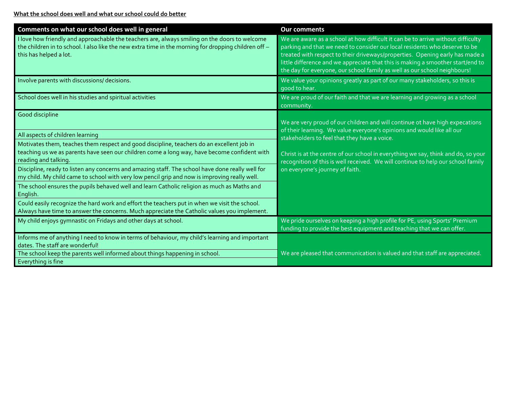| Comments on what our school does well in general                                                                                                                                                                                | <b>Our comments</b>                                                                                                                                                                                                                                                                                                                                                                                            |  |
|---------------------------------------------------------------------------------------------------------------------------------------------------------------------------------------------------------------------------------|----------------------------------------------------------------------------------------------------------------------------------------------------------------------------------------------------------------------------------------------------------------------------------------------------------------------------------------------------------------------------------------------------------------|--|
| I love how friendly and approachable the teachers are, always smiling on the doors to welcome<br>the children in to school. I also like the new extra time in the morning for dropping children off -<br>this has helped a lot. | We are aware as a school at how difficult it can be to arrive without difficulty<br>parking and that we need to consider our local residents who deserve to be<br>treated with respect to their driveways/properties. Opening early has made a<br>little difference and we appreciate that this is making a smoother start/end to<br>the day for everyone, our school family as well as our school neighbours! |  |
| Involve parents with discussions/ decisions.                                                                                                                                                                                    | We value your opinions greatly as part of our many stakeholders, so this is<br>good to hear.                                                                                                                                                                                                                                                                                                                   |  |
| School does well in his studies and spiritual activities                                                                                                                                                                        | We are proud of our faith and that we are learning and growing as a school<br>community.                                                                                                                                                                                                                                                                                                                       |  |
| Good discipline                                                                                                                                                                                                                 | We are very proud of our children and will continue ot have high expecations                                                                                                                                                                                                                                                                                                                                   |  |
| All aspects of children learning                                                                                                                                                                                                | of their learning. We value everyone's opinions and would like all our<br>stakeholders to feel that they have a voice.                                                                                                                                                                                                                                                                                         |  |
| Motivates them, teaches them respect and good discipline, teachers do an excellent job in<br>teaching us we as parents have seen our children come a long way, have become confident with<br>reading and talking.               | Christ is at the centre of our school in everything we say, think and do, so your<br>recognition of this is well received. We will continue to help our school family<br>on everyone's journey of faith.                                                                                                                                                                                                       |  |
| Discipline, ready to listen any concerns and amazing staff. The school have done really well for<br>my child. My child came to school with very low pencil grip and now is improving really well.                               |                                                                                                                                                                                                                                                                                                                                                                                                                |  |
| The school ensures the pupils behaved well and learn Catholic religion as much as Maths and<br>English.                                                                                                                         |                                                                                                                                                                                                                                                                                                                                                                                                                |  |
| Could easily recognize the hard work and effort the teachers put in when we visit the school.                                                                                                                                   |                                                                                                                                                                                                                                                                                                                                                                                                                |  |
| Always have time to answer the concerns. Much appreciate the Catholic values you implement.                                                                                                                                     |                                                                                                                                                                                                                                                                                                                                                                                                                |  |
| My child enjoys gymnastic on Fridays and other days at school.                                                                                                                                                                  | We pride ourselves on keeping a high profile for PE, using Sports' Premium<br>funding to provide the best equipment and teaching that we can offer.                                                                                                                                                                                                                                                            |  |
| Informs me of anything I need to know in terms of behaviour, my child's learning and important<br>dates. The staff are wonderful!                                                                                               |                                                                                                                                                                                                                                                                                                                                                                                                                |  |
| The school keep the parents well informed about things happening in school.                                                                                                                                                     | We are pleased that communication is valued and that staff are appreciated.                                                                                                                                                                                                                                                                                                                                    |  |
| Everything is fine                                                                                                                                                                                                              |                                                                                                                                                                                                                                                                                                                                                                                                                |  |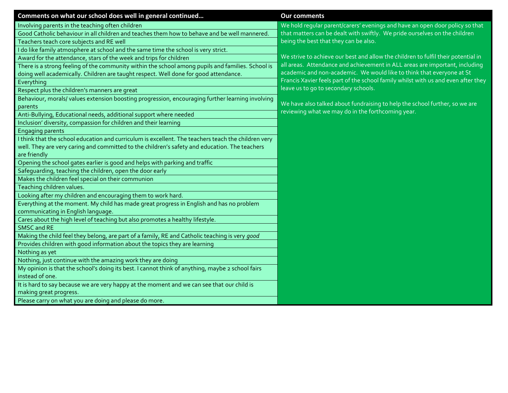| Comments on what our school does well in general continued                                          | <b>Our comments</b>                                                               |
|-----------------------------------------------------------------------------------------------------|-----------------------------------------------------------------------------------|
| Involving parents in the teaching often children                                                    | We hold regular parent/carers' evenings and have an open door policy so that      |
| Good Catholic behaviour in all children and teaches them how to behave and be well mannered.        | that matters can be dealt with swiftly. We pride ourselves on the children        |
| Teachers teach core subjects and RE well                                                            | being the best that they can be also.                                             |
| I do like family atmosphere at school and the same time the school is very strict.                  |                                                                                   |
| Award for the attendance, stars of the week and trips for children                                  | We strive to achieve our best and allow the children to fulfil their potential in |
| There is a strong feeling of the community within the school among pupils and families. School is   | all areas. Attendance and achievement in ALL areas are important, including       |
| doing well academically. Children are taught respect. Well done for good attendance.                | academic and non-academic. We would like to think that everyone at St             |
| Everything                                                                                          | Francis Xavier feels part of the school family whilst with us and even after they |
| Respect plus the children's manners are great                                                       | leave us to go to secondary schools.                                              |
| Behaviour, morals/values extension boosting progression, encouraging further learning involving     |                                                                                   |
| parents                                                                                             | We have also talked about fundraising to help the school further, so we are       |
| Anti-Bullying, Educational needs, additional support where needed                                   | reviewing what we may do in the forthcoming year.                                 |
| Inclusion' diversity, compassion for children and their learning                                    |                                                                                   |
| <b>Engaging parents</b>                                                                             |                                                                                   |
| I think that the school education and curriculum is excellent. The teachers teach the children very |                                                                                   |
| well. They are very caring and committed to the children's safety and education. The teachers       |                                                                                   |
| are friendly                                                                                        |                                                                                   |
| Opening the school gates earlier is good and helps with parking and traffic                         |                                                                                   |
| Safequarding, teaching the children, open the door early                                            |                                                                                   |
| Makes the children feel special on their communion                                                  |                                                                                   |
| Teaching children values.                                                                           |                                                                                   |
| Looking after my children and encouraging them to work hard                                         |                                                                                   |
| Everything at the moment. My child has made great progress in English and has no problem            |                                                                                   |
| communicating in English language.                                                                  |                                                                                   |
| Cares about the high level of teaching but also promotes a healthy lifestyle.                       |                                                                                   |
| SMSC and RE                                                                                         |                                                                                   |
| Making the child feel they belong, are part of a family, RE and Catholic teaching is very good      |                                                                                   |
| Provides children with good information about the topics they are learning                          |                                                                                   |
| Nothing as yet                                                                                      |                                                                                   |
| Nothing, just continue with the amazing work they are doing                                         |                                                                                   |
| My opinion is that the school's doing its best. I cannot think of anything, maybe 2 school fairs    |                                                                                   |
| instead of one.                                                                                     |                                                                                   |
| It is hard to say because we are very happy at the moment and we can see that our child is          |                                                                                   |
| making great progress.                                                                              |                                                                                   |
| Please carry on what you are doing and please do more.                                              |                                                                                   |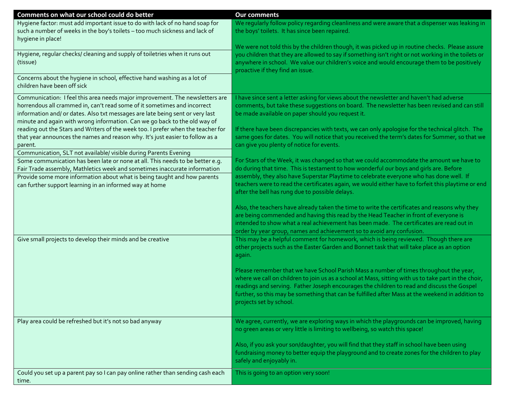| Comments on what our school could do better                                                                                                                                                                                                                                                                                                                                                                                                                                                            | <b>Our comments</b>                                                                                                                                                                                                                                                                                                                                                                                                                                                                              |
|--------------------------------------------------------------------------------------------------------------------------------------------------------------------------------------------------------------------------------------------------------------------------------------------------------------------------------------------------------------------------------------------------------------------------------------------------------------------------------------------------------|--------------------------------------------------------------------------------------------------------------------------------------------------------------------------------------------------------------------------------------------------------------------------------------------------------------------------------------------------------------------------------------------------------------------------------------------------------------------------------------------------|
| Hygiene factor: must add important issue to do with lack of no hand soap for<br>such a number of weeks in the boy's toilets - too much sickness and lack of<br>hygiene in place!                                                                                                                                                                                                                                                                                                                       | We regularly follow policy regarding cleanliness and were aware that a dispenser was leaking in<br>the boys' toilets. It has since been repaired.                                                                                                                                                                                                                                                                                                                                                |
| Hygiene, regular checks/ cleaning and supply of toiletries when it runs out<br>(tissue)<br>Concerns about the hygiene in school, effective hand washing as a lot of                                                                                                                                                                                                                                                                                                                                    | We were not told this by the children though, it was picked up in routine checks. Please assure<br>you children that they are allowed to say if something isn't right or not working in the toilets or<br>anywhere in school. We value our children's voice and would encourage them to be positively<br>proactive if they find an issue.                                                                                                                                                        |
| children have been off sick                                                                                                                                                                                                                                                                                                                                                                                                                                                                            |                                                                                                                                                                                                                                                                                                                                                                                                                                                                                                  |
| Communication: I feel this area needs major improvement. The newsletters are<br>horrendous all crammed in, can't read some of it sometimes and incorrect<br>information and/ or dates. Also txt messages are late being sent or very last<br>minute and again with wrong information. Can we go back to the old way of<br>reading out the Stars and Writers of the week too. I prefer when the teacher for<br>that year announces the names and reason why. It's just easier to follow as a<br>parent. | I have since sent a letter asking for views about the newsletter and haven't had adverse<br>comments, but take these suggestions on board. The newsletter has been revised and can still<br>be made available on paper should you request it.<br>If there have been discrepancies with texts, we can only apologise for the technical glitch. The<br>same goes for dates. You will notice that you received the term's dates for Summer, so that we<br>can give you plenty of notice for events. |
| Communication, SLT not available/ visible during Parents Evening<br>Some communication has been late or none at all. This needs to be better e.g.<br>Fair Trade assembly, Mathletics week and sometimes inaccurate information<br>Provide some more information about what is being taught and how parents<br>can further support learning in an informed way at home                                                                                                                                  | For Stars of the Week, it was changed so that we could accommodate the amount we have to<br>do during that time. This is testament to how wonderful our boys and girls are. Before<br>assembly, they also have Superstar Playtime to celebrate everyone who has done well. If<br>teachers were to read the certificates again, we would either have to forfeit this playtime or end<br>after the bell has rung due to possible delays.                                                           |
|                                                                                                                                                                                                                                                                                                                                                                                                                                                                                                        | Also, the teachers have already taken the time to write the certificates and reasons why they<br>are being commended and having this read by the Head Teacher in front of everyone is<br>intended to show what a real achievement has been made. The certificates are read out in<br>order by year group, names and achievement so to avoid any confusion.                                                                                                                                       |
| Give small projects to develop their minds and be creative                                                                                                                                                                                                                                                                                                                                                                                                                                             | This may be a helpful comment for homework, which is being reviewed. Though there are<br>other projects such as the Easter Garden and Bonnet task that will take place as an option<br>again.                                                                                                                                                                                                                                                                                                    |
|                                                                                                                                                                                                                                                                                                                                                                                                                                                                                                        | Please remember that we have School Parish Mass a number of times throughout the year,<br>where we call on children to join us as a school at Mass, sitting with us to take part in the choir,<br>readings and serving. Father Joseph encourages the children to read and discuss the Gospel<br>further, so this may be something that can be fulfilled after Mass at the weekend in addition to<br>projects set by school.                                                                      |
| Play area could be refreshed but it's not so bad anyway                                                                                                                                                                                                                                                                                                                                                                                                                                                | We agree, currently, we are exploring ways in which the playgrounds can be improved, having<br>no green areas or very little is limiting to wellbeing, so watch this space!                                                                                                                                                                                                                                                                                                                      |
|                                                                                                                                                                                                                                                                                                                                                                                                                                                                                                        | Also, if you ask your son/daughter, you will find that they staff in school have been using<br>fundraising money to better equip the playground and to create zones for the children to play<br>safely and enjoyably in.                                                                                                                                                                                                                                                                         |
| Could you set up a parent pay so I can pay online rather than sending cash each<br>time.                                                                                                                                                                                                                                                                                                                                                                                                               | This is going to an option very soon!                                                                                                                                                                                                                                                                                                                                                                                                                                                            |